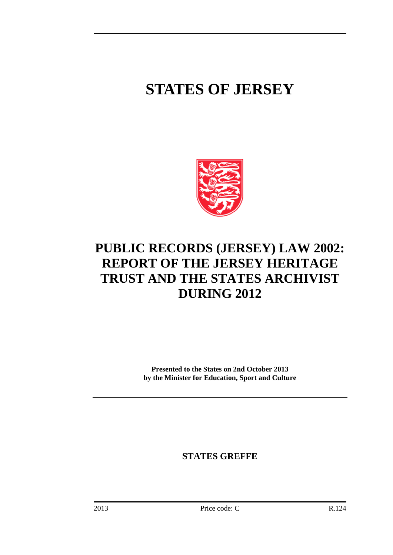# **STATES OF JERSEY**



## **PUBLIC RECORDS (JERSEY) LAW 2002: REPORT OF THE JERSEY HERITAGE TRUST AND THE STATES ARCHIVIST DURING 2012**

**Presented to the States on 2nd October 2013 by the Minister for Education, Sport and Culture**

**STATES GREFFE**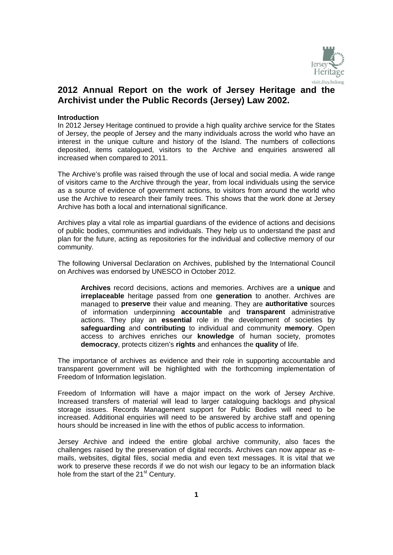

## **2012 Annual Report on the work of Jersey Heritage and the Archivist under the Public Records (Jersey) Law 2002.**

#### **Introduction**

In 2012 Jersey Heritage continued to provide a high quality archive service for the States of Jersey, the people of Jersey and the many individuals across the world who have an interest in the unique culture and history of the Island. The numbers of collections deposited, items catalogued, visitors to the Archive and enquiries answered all increased when compared to 2011.

The Archive's profile was raised through the use of local and social media. A wide range of visitors came to the Archive through the year, from local individuals using the service as a source of evidence of government actions, to visitors from around the world who use the Archive to research their family trees. This shows that the work done at Jersey Archive has both a local and international significance.

Archives play a vital role as impartial guardians of the evidence of actions and decisions of public bodies, communities and individuals. They help us to understand the past and plan for the future, acting as repositories for the individual and collective memory of our community.

The following Universal Declaration on Archives, published by the International Council on Archives was endorsed by UNESCO in October 2012.

**Archives** record decisions, actions and memories. Archives are a **unique** and **irreplaceable** heritage passed from one **generation** to another. Archives are managed to **preserve** their value and meaning. They are **authoritative** sources of information underpinning **accountable** and **transparent** administrative actions. They play an **essential** role in the development of societies by **safeguarding** and **contributing** to individual and community **memory**. Open access to archives enriches our **knowledge** of human society, promotes **democracy**, protects citizen's **rights** and enhances the **quality** of life.

The importance of archives as evidence and their role in supporting accountable and transparent government will be highlighted with the forthcoming implementation of Freedom of Information legislation.

Freedom of Information will have a major impact on the work of Jersey Archive. Increased transfers of material will lead to larger cataloguing backlogs and physical storage issues. Records Management support for Public Bodies will need to be increased. Additional enquiries will need to be answered by archive staff and opening hours should be increased in line with the ethos of public access to information.

Jersey Archive and indeed the entire global archive community, also faces the challenges raised by the preservation of digital records. Archives can now appear as emails, websites, digital files, social media and even text messages. It is vital that we work to preserve these records if we do not wish our legacy to be an information black hole from the start of the 21<sup>st</sup> Century.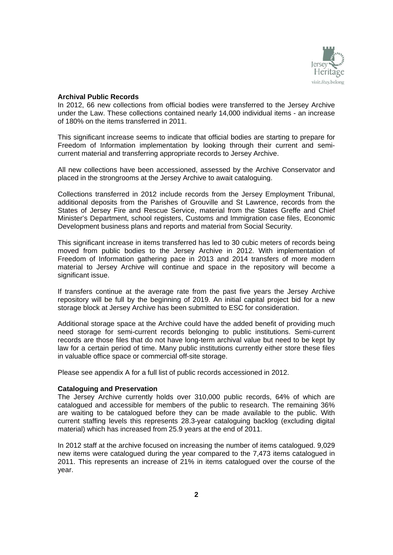

#### **Archival Public Records**

In 2012, 66 new collections from official bodies were transferred to the Jersey Archive under the Law. These collections contained nearly 14,000 individual items - an increase of 180% on the items transferred in 2011.

This significant increase seems to indicate that official bodies are starting to prepare for Freedom of Information implementation by looking through their current and semicurrent material and transferring appropriate records to Jersey Archive.

All new collections have been accessioned, assessed by the Archive Conservator and placed in the strongrooms at the Jersey Archive to await cataloguing.

Collections transferred in 2012 include records from the Jersey Employment Tribunal, additional deposits from the Parishes of Grouville and St Lawrence, records from the States of Jersey Fire and Rescue Service, material from the States Greffe and Chief Minister's Department, school registers, Customs and Immigration case files, Economic Development business plans and reports and material from Social Security.

This significant increase in items transferred has led to 30 cubic meters of records being moved from public bodies to the Jersey Archive in 2012. With implementation of Freedom of Information gathering pace in 2013 and 2014 transfers of more modern material to Jersey Archive will continue and space in the repository will become a significant issue.

If transfers continue at the average rate from the past five years the Jersey Archive repository will be full by the beginning of 2019. An initial capital project bid for a new storage block at Jersey Archive has been submitted to ESC for consideration.

Additional storage space at the Archive could have the added benefit of providing much need storage for semi-current records belonging to public institutions. Semi-current records are those files that do not have long-term archival value but need to be kept by law for a certain period of time. Many public institutions currently either store these files in valuable office space or commercial off-site storage.

Please see appendix A for a full list of public records accessioned in 2012.

#### **Cataloguing and Preservation**

The Jersey Archive currently holds over 310,000 public records, 64% of which are catalogued and accessible for members of the public to research. The remaining 36% are waiting to be catalogued before they can be made available to the public. With current staffing levels this represents 28.3-year cataloguing backlog (excluding digital material) which has increased from 25.9 years at the end of 2011.

In 2012 staff at the archive focused on increasing the number of items catalogued. 9,029 new items were catalogued during the year compared to the 7,473 items catalogued in 2011. This represents an increase of 21% in items catalogued over the course of the year.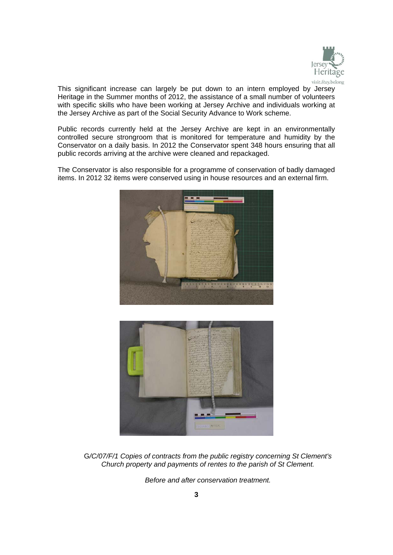

This significant increase can largely be put down to an intern employed by Jersey Heritage in the Summer months of 2012, the assistance of a small number of volunteers with specific skills who have been working at Jersey Archive and individuals working at the Jersey Archive as part of the Social Security Advance to Work scheme.

Public records currently held at the Jersey Archive are kept in an environmentally controlled secure strongroom that is monitored for temperature and humidity by the Conservator on a daily basis. In 2012 the Conservator spent 348 hours ensuring that all public records arriving at the archive were cleaned and repackaged.

The Conservator is also responsible for a programme of conservation of badly damaged items. In 2012 32 items were conserved using in house resources and an external firm.





G*/C/07/F/1 Copies of contracts from the public registry concerning St Clement's Church property and payments of rentes to the parish of St Clement.* 

*Before and after conservation treatment.*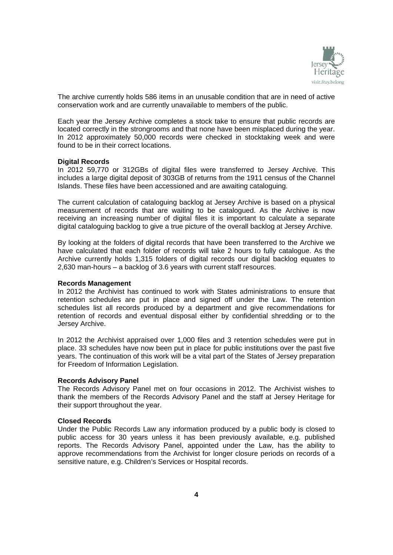

The archive currently holds 586 items in an unusable condition that are in need of active conservation work and are currently unavailable to members of the public.

Each year the Jersey Archive completes a stock take to ensure that public records are located correctly in the strongrooms and that none have been misplaced during the year. In 2012 approximately 50,000 records were checked in stocktaking week and were found to be in their correct locations.

#### **Digital Records**

In 2012 59,770 or 312GBs of digital files were transferred to Jersey Archive. This includes a large digital deposit of 303GB of returns from the 1911 census of the Channel Islands. These files have been accessioned and are awaiting cataloguing.

The current calculation of cataloguing backlog at Jersey Archive is based on a physical measurement of records that are waiting to be catalogued. As the Archive is now receiving an increasing number of digital files it is important to calculate a separate digital cataloguing backlog to give a true picture of the overall backlog at Jersey Archive.

By looking at the folders of digital records that have been transferred to the Archive we have calculated that each folder of records will take 2 hours to fully catalogue. As the Archive currently holds 1,315 folders of digital records our digital backlog equates to 2,630 man-hours – a backlog of 3.6 years with current staff resources.

#### **Records Management**

In 2012 the Archivist has continued to work with States administrations to ensure that retention schedules are put in place and signed off under the Law. The retention schedules list all records produced by a department and give recommendations for retention of records and eventual disposal either by confidential shredding or to the Jersey Archive.

In 2012 the Archivist appraised over 1,000 files and 3 retention schedules were put in place. 33 schedules have now been put in place for public institutions over the past five years. The continuation of this work will be a vital part of the States of Jersey preparation for Freedom of Information Legislation.

#### **Records Advisory Panel**

The Records Advisory Panel met on four occasions in 2012. The Archivist wishes to thank the members of the Records Advisory Panel and the staff at Jersey Heritage for their support throughout the year.

#### **Closed Records**

Under the Public Records Law any information produced by a public body is closed to public access for 30 years unless it has been previously available, e.g. published reports. The Records Advisory Panel, appointed under the Law, has the ability to approve recommendations from the Archivist for longer closure periods on records of a sensitive nature, e.g. Children's Services or Hospital records.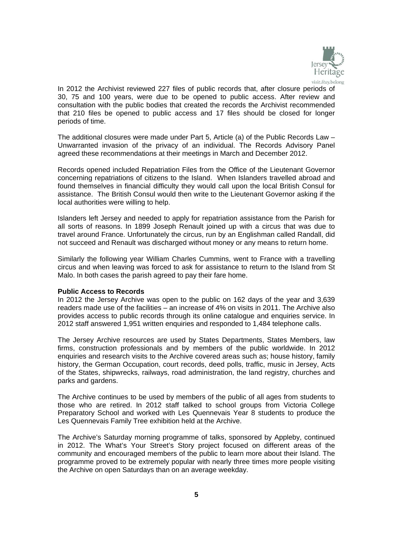

In 2012 the Archivist reviewed 227 files of public records that, after closure periods of 30, 75 and 100 years, were due to be opened to public access. After review and consultation with the public bodies that created the records the Archivist recommended that 210 files be opened to public access and 17 files should be closed for longer periods of time.

The additional closures were made under Part 5, Article (a) of the Public Records Law – Unwarranted invasion of the privacy of an individual. The Records Advisory Panel agreed these recommendations at their meetings in March and December 2012.

Records opened included Repatriation Files from the Office of the Lieutenant Governor concerning repatriations of citizens to the Island. When Islanders travelled abroad and found themselves in financial difficulty they would call upon the local British Consul for assistance. The British Consul would then write to the Lieutenant Governor asking if the local authorities were willing to help.

Islanders left Jersey and needed to apply for repatriation assistance from the Parish for all sorts of reasons. In 1899 Joseph Renault joined up with a circus that was due to travel around France. Unfortunately the circus, run by an Englishman called Randall, did not succeed and Renault was discharged without money or any means to return home.

Similarly the following year William Charles Cummins, went to France with a travelling circus and when leaving was forced to ask for assistance to return to the Island from St Malo. In both cases the parish agreed to pay their fare home.

#### **Public Access to Records**

In 2012 the Jersey Archive was open to the public on 162 days of the year and 3,639 readers made use of the facilities – an increase of 4% on visits in 2011. The Archive also provides access to public records through its online catalogue and enquiries service. In 2012 staff answered 1,951 written enquiries and responded to 1,484 telephone calls.

The Jersey Archive resources are used by States Departments, States Members, law firms, construction professionals and by members of the public worldwide. In 2012 enquiries and research visits to the Archive covered areas such as; house history, family history, the German Occupation, court records, deed polls, traffic, music in Jersey, Acts of the States, shipwrecks, railways, road administration, the land registry, churches and parks and gardens.

The Archive continues to be used by members of the public of all ages from students to those who are retired. In 2012 staff talked to school groups from Victoria College Preparatory School and worked with Les Quennevais Year 8 students to produce the Les Quennevais Family Tree exhibition held at the Archive.

The Archive's Saturday morning programme of talks, sponsored by Appleby, continued in 2012. The What's Your Street's Story project focused on different areas of the community and encouraged members of the public to learn more about their Island. The programme proved to be extremely popular with nearly three times more people visiting the Archive on open Saturdays than on an average weekday.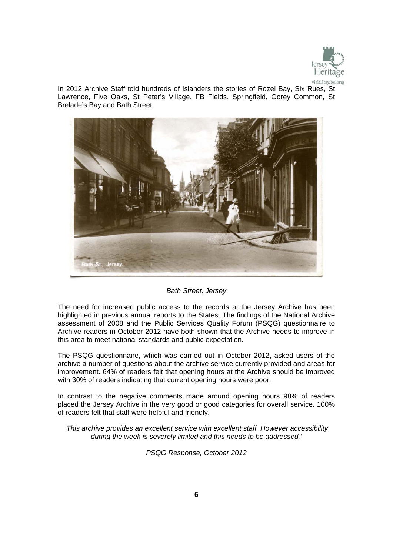

In 2012 Archive Staff told hundreds of Islanders the stories of Rozel Bay, Six Rues, St Lawrence, Five Oaks, St Peter's Village, FB Fields, Springfield, Gorey Common, St Brelade's Bay and Bath Street.



#### *Bath Street, Jersey*

The need for increased public access to the records at the Jersey Archive has been highlighted in previous annual reports to the States. The findings of the National Archive assessment of 2008 and the Public Services Quality Forum (PSQG) questionnaire to Archive readers in October 2012 have both shown that the Archive needs to improve in this area to meet national standards and public expectation.

The PSQG questionnaire, which was carried out in October 2012, asked users of the archive a number of questions about the archive service currently provided and areas for improvement. 64% of readers felt that opening hours at the Archive should be improved with 30% of readers indicating that current opening hours were poor.

In contrast to the negative comments made around opening hours 98% of readers placed the Jersey Archive in the very good or good categories for overall service. 100% of readers felt that staff were helpful and friendly.

*'This archive provides an excellent service with excellent staff. However accessibility during the week is severely limited and this needs to be addressed.'* 

*PSQG Response, October 2012*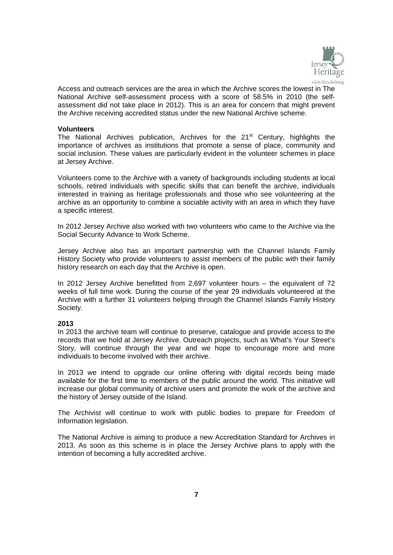

Access and outreach services are the area in which the Archive scores the lowest in The National Archive self-assessment process with a score of 58.5% in 2010 (the selfassessment did not take place in 2012). This is an area for concern that might prevent the Archive receiving accredited status under the new National Archive scheme.

#### **Volunteers**

The National Archives publication, Archives for the  $21<sup>st</sup>$  Century, highlights the importance of archives as institutions that promote a sense of place, community and social inclusion. These values are particularly evident in the volunteer schemes in place at Jersey Archive.

Volunteers come to the Archive with a variety of backgrounds including students at local schools, retired individuals with specific skills that can benefit the archive, individuals interested in training as heritage professionals and those who see volunteering at the archive as an opportunity to combine a sociable activity with an area in which they have a specific interest.

In 2012 Jersey Archive also worked with two volunteers who came to the Archive via the Social Security Advance to Work Scheme.

Jersey Archive also has an important partnership with the Channel Islands Family History Society who provide volunteers to assist members of the public with their family history research on each day that the Archive is open.

In 2012 Jersey Archive benefitted from 2,697 volunteer hours – the equivalent of 72 weeks of full time work. During the course of the year 29 individuals volunteered at the Archive with a further 31 volunteers helping through the Channel Islands Family History Society.

#### **2013**

In 2013 the archive team will continue to preserve, catalogue and provide access to the records that we hold at Jersey Archive. Outreach projects, such as What's Your Street's Story, will continue through the year and we hope to encourage more and more individuals to become involved with their archive.

In 2013 we intend to upgrade our online offering with digital records being made available for the first time to members of the public around the world. This initiative will increase our global community of archive users and promote the work of the archive and the history of Jersey outside of the Island.

The Archivist will continue to work with public bodies to prepare for Freedom of Information legislation.

The National Archive is aiming to produce a new Accreditation Standard for Archives in 2013. As soon as this scheme is in place the Jersey Archive plans to apply with the intention of becoming a fully accredited archive.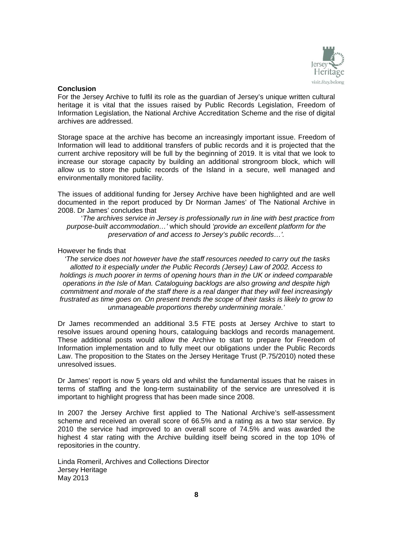

#### **Conclusion**

For the Jersey Archive to fulfil its role as the guardian of Jersey's unique written cultural heritage it is vital that the issues raised by Public Records Legislation, Freedom of Information Legislation, the National Archive Accreditation Scheme and the rise of digital archives are addressed.

Storage space at the archive has become an increasingly important issue. Freedom of Information will lead to additional transfers of public records and it is projected that the current archive repository will be full by the beginning of 2019. It is vital that we look to increase our storage capacity by building an additional strongroom block, which will allow us to store the public records of the Island in a secure, well managed and environmentally monitored facility.

The issues of additional funding for Jersey Archive have been highlighted and are well documented in the report produced by Dr Norman James' of The National Archive in 2008. Dr James' concludes that

'*The archives service in Jersey is professionally run in line with best practice from purpose-built accommodation…'* which should *'provide an excellent platform for the preservation of and access to Jersey's public records…'.* 

#### However he finds that

 *'The service does not however have the staff resources needed to carry out the tasks allotted to it especially under the Public Records (Jersey) Law of 2002. Access to holdings is much poorer in terms of opening hours than in the UK or indeed comparable operations in the Isle of Man. Cataloguing backlogs are also growing and despite high commitment and morale of the staff there is a real danger that they will feel increasingly frustrated as time goes on. On present trends the scope of their tasks is likely to grow to unmanageable proportions thereby undermining morale.'* 

Dr James recommended an additional 3.5 FTE posts at Jersey Archive to start to resolve issues around opening hours, cataloguing backlogs and records management. These additional posts would allow the Archive to start to prepare for Freedom of Information implementation and to fully meet our obligations under the Public Records Law. The proposition to the States on the Jersey Heritage Trust (P.75/2010) noted these unresolved issues.

Dr James' report is now 5 years old and whilst the fundamental issues that he raises in terms of staffing and the long-term sustainability of the service are unresolved it is important to highlight progress that has been made since 2008.

In 2007 the Jersey Archive first applied to The National Archive's self-assessment scheme and received an overall score of 66.5% and a rating as a two star service. By 2010 the service had improved to an overall score of 74.5% and was awarded the highest 4 star rating with the Archive building itself being scored in the top 10% of repositories in the country.

Linda Romeril, Archives and Collections Director Jersey Heritage May 2013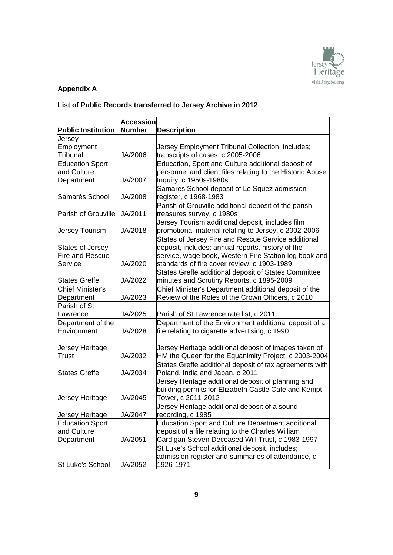

## **Appendix A**

## **List of Public Records transferred to Jersey Archive in 2012**

| <b>Public Institution</b> | <b>Accession</b><br><b>Number</b> | <b>Description</b>                                        |
|---------------------------|-----------------------------------|-----------------------------------------------------------|
|                           |                                   |                                                           |
| Jersey                    |                                   |                                                           |
| Employment<br>Tribunal    | JA/2006                           | Jersey Employment Tribunal Collection, includes;          |
|                           |                                   | transcripts of cases, c 2005-2006                         |
| <b>Education Sport</b>    |                                   | Education, Sport and Culture additional deposit of        |
| and Culture               |                                   | personnel and client files relating to the Historic Abuse |
| Department                | JA/2007                           | Inquiry, c 1950s-1980s                                    |
|                           |                                   | Samarès School deposit of Le Squez admission              |
| Samarès School            | JA/2008                           | register, c 1968-1983                                     |
|                           |                                   | Parish of Grouville additional deposit of the parish      |
| Parish of Grouville       | JA/2011                           | treasures survey, c 1980s                                 |
|                           |                                   | Jersey Tourism additional deposit, includes film          |
| <b>Jersey Tourism</b>     | JA/2018                           | promotional material relating to Jersey, c 2002-2006      |
|                           |                                   | States of Jersey Fire and Rescue Service additional       |
| <b>States of Jersey</b>   |                                   | deposit, includes; annual reports, history of the         |
| <b>Fire and Rescue</b>    |                                   | service, wage book, Western Fire Station log book and     |
| Service                   | JA/2020                           | standards of fire cover review, c 1903-1989               |
|                           |                                   | States Greffe additional deposit of States Committee      |
| <b>States Greffe</b>      | JA/2022                           | minutes and Scrutiny Reports, c 1895-2009                 |
| <b>Chief Minister's</b>   |                                   | Chief Minister's Department additional deposit of the     |
| Department                | JA/2023                           | Review of the Roles of the Crown Officers, c 2010         |
| Parish of St              |                                   |                                                           |
| Lawrence                  | JA/2025                           | Parish of St Lawrence rate list, c 2011                   |
| Department of the         |                                   | Department of the Environment additional deposit of a     |
| Environment               | JA/2028                           | file relating to cigarette advertising, c 1990            |
|                           |                                   |                                                           |
| Jersey Heritage           |                                   | Jersey Heritage additional deposit of images taken of     |
| <b>Trust</b>              | JA/2032                           | HM the Queen for the Equanimity Project, c 2003-2004      |
|                           |                                   | States Greffe additional deposit of tax agreements with   |
| <b>States Greffe</b>      | JA/2034                           | Poland, India and Japan, c 2011                           |
|                           |                                   | Jersey Heritage additional deposit of planning and        |
|                           |                                   | building permits for Elizabeth Castle Café and Kempt      |
| Jersey Heritage           | JA/2045                           | Tower, c 2011-2012                                        |
|                           |                                   | Jersey Heritage additional deposit of a sound             |
| Jersey Heritage           | JA/2047                           | recording, c 1985                                         |
| <b>Education Sport</b>    |                                   | <b>Education Sport and Culture Department additional</b>  |
| and Culture               |                                   | deposit of a file relating to the Charles William         |
| Department                | JA/2051                           | Cardigan Steven Deceased Will Trust, c 1983-1997          |
|                           |                                   | St Luke's School additional deposit, includes;            |
|                           |                                   | admission register and summaries of attendance, c         |
| St Luke's School          | JA/2052                           | 1926-1971                                                 |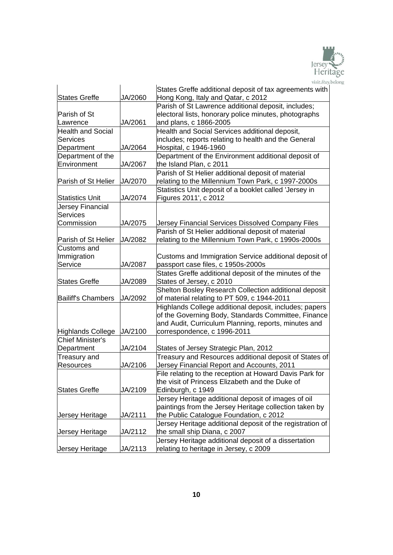

|                                       |         | States Greffe additional deposit of tax agreements with                                                       |
|---------------------------------------|---------|---------------------------------------------------------------------------------------------------------------|
| <b>States Greffe</b>                  | JA/2060 | Hong Kong, Italy and Qatar, c 2012                                                                            |
|                                       |         | Parish of St Lawrence additional deposit, includes;                                                           |
| Parish of St                          |         | electoral lists, honorary police minutes, photographs                                                         |
| Lawrence                              | JA/2061 | and plans, c 1866-2005                                                                                        |
| <b>Health and Social</b>              |         | Health and Social Services additional deposit,                                                                |
| <b>Services</b>                       |         | includes; reports relating to health and the General                                                          |
| Department                            | JA/2064 | Hospital, c 1946-1960                                                                                         |
| Department of the                     |         | Department of the Environment additional deposit of                                                           |
| Environment                           | JA/2067 | the Island Plan, c 2011                                                                                       |
|                                       |         | Parish of St Helier additional deposit of material                                                            |
| Parish of St Helier                   | JA/2070 | relating to the Millennium Town Park, c 1997-2000s                                                            |
|                                       |         | Statistics Unit deposit of a booklet called 'Jersey in                                                        |
| <b>Statistics Unit</b>                | JA/2074 | Figures 2011', c 2012                                                                                         |
| Jersey Financial                      |         |                                                                                                               |
| <b>Services</b>                       |         |                                                                                                               |
| Commission                            | JA/2075 | Jersey Financial Services Dissolved Company Files                                                             |
|                                       |         | Parish of St Helier additional deposit of material                                                            |
| Parish of St Helier                   | JA/2082 | relating to the Millennium Town Park, c 1990s-2000s                                                           |
| Customs and                           |         |                                                                                                               |
| Immigration                           |         | Customs and Immigration Service additional deposit of                                                         |
| Service                               | JA/2087 | passport case files, c 1950s-2000s                                                                            |
|                                       |         | States Greffe additional deposit of the minutes of the                                                        |
| <b>States Greffe</b>                  | JA/2089 | States of Jersey, c 2010                                                                                      |
|                                       |         | Shelton Bosley Research Collection additional deposit                                                         |
| <b>Bailiff's Chambers</b>             | JA/2092 | of material relating to PT 509, c 1944-2011                                                                   |
|                                       |         | Highlands College additional deposit, includes; papers                                                        |
|                                       |         | of the Governing Body, Standards Committee, Finance                                                           |
|                                       |         | and Audit, Curriculum Planning, reports, minutes and                                                          |
| <b>Highlands College</b>              | JA/2100 | correspondence, c 1996-2011                                                                                   |
| <b>Chief Minister's</b><br>Department | JA/2104 |                                                                                                               |
|                                       |         | States of Jersey Strategic Plan, 2012<br>Treasury and Resources additional deposit of States of               |
| Treasury and<br>Resources             | JA/2106 | Jersey Financial Report and Accounts, 2011                                                                    |
|                                       |         |                                                                                                               |
|                                       |         | File relating to the reception at Howard Davis Park for<br>the visit of Princess Elizabeth and the Duke of    |
| <b>States Greffe</b>                  | JA/2109 | Edinburgh, c 1949                                                                                             |
|                                       |         |                                                                                                               |
|                                       |         | Jersey Heritage additional deposit of images of oil<br>paintings from the Jersey Heritage collection taken by |
| Jersey Heritage                       | JA/2111 | the Public Catalogue Foundation, c 2012                                                                       |
|                                       |         | Jersey Heritage additional deposit of the registration of                                                     |
| Jersey Heritage                       | JA/2112 | the small ship Diana, c 2007                                                                                  |
|                                       |         | Jersey Heritage additional deposit of a dissertation                                                          |
| Jersey Heritage                       | JA/2113 | relating to heritage in Jersey, c 2009                                                                        |
|                                       |         |                                                                                                               |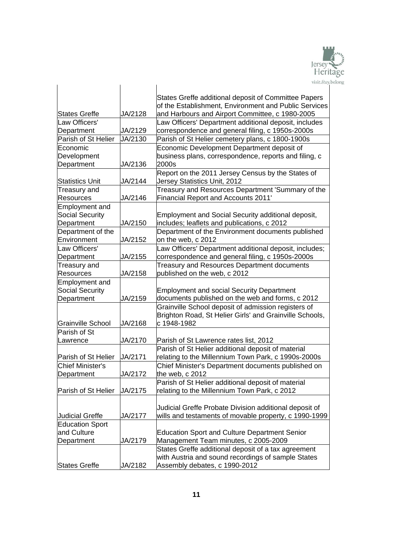

|                                      |         | visit.stay.                                                                                          |
|--------------------------------------|---------|------------------------------------------------------------------------------------------------------|
|                                      |         | States Greffe additional deposit of Committee Papers                                                 |
|                                      |         | of the Establishment, Environment and Public Services                                                |
| <b>States Greffe</b>                 | JA/2128 | and Harbours and Airport Committee, c 1980-2005                                                      |
| Law Officers'                        |         | Law Officers' Department additional deposit, includes                                                |
| Department                           | JA/2129 | correspondence and general filing, c 1950s-2000s                                                     |
| Parish of St Helier                  | JA/2130 | Parish of St Helier cemetery plans, c 1800-1900s                                                     |
| Economic                             |         | Economic Development Department deposit of                                                           |
| Development                          |         | business plans, correspondence, reports and filing, c                                                |
| Department                           | JA/2136 | 2000s                                                                                                |
| <b>Statistics Unit</b>               | JA/2144 | Report on the 2011 Jersey Census by the States of<br>Jersey Statistics Unit, 2012                    |
| Treasury and                         |         | Treasury and Resources Department 'Summary of the                                                    |
| <b>Resources</b>                     | JA/2146 | <b>Financial Report and Accounts 2011'</b>                                                           |
| Employment and                       |         |                                                                                                      |
| <b>Social Security</b>               |         | Employment and Social Security additional deposit,                                                   |
| Department                           | JA/2150 | includes; leaflets and publications, c 2012                                                          |
| Department of the                    |         | Department of the Environment documents published                                                    |
| Environment                          | JA/2152 | on the web, c 2012                                                                                   |
| Law Officers'                        |         | Law Officers' Department additional deposit, includes;                                               |
| Department                           | JA/2155 | correspondence and general filing, c 1950s-2000s                                                     |
| Treasury and                         |         | Treasury and Resources Department documents                                                          |
| <b>Resources</b>                     | JA/2158 | published on the web, c 2012                                                                         |
| Employment and                       |         |                                                                                                      |
| <b>Social Security</b><br>Department | JA/2159 | <b>Employment and social Security Department</b><br>documents published on the web and forms, c 2012 |
|                                      |         | Grainville School deposit of admission registers of                                                  |
|                                      |         | Brighton Road, St Helier Girls' and Grainville Schools,                                              |
| <b>Grainville School</b>             | JA/2168 | c 1948-1982                                                                                          |
| Parish of St                         |         |                                                                                                      |
| Lawrence                             | JA/2170 | Parish of St Lawrence rates list, 2012                                                               |
|                                      |         | Parish of St Helier additional deposit of material                                                   |
| Parish of St Helier                  | JA/2171 | relating to the Millennium Town Park, c 1990s-2000s                                                  |
| <b>Chief Minister's</b>              |         | Chief Minister's Department documents published on                                                   |
| Department                           | JA/2172 | the web, c 2012                                                                                      |
|                                      |         | Parish of St Helier additional deposit of material                                                   |
| Parish of St Helier                  | JA/2175 | relating to the Millennium Town Park, c 2012                                                         |
|                                      |         |                                                                                                      |
|                                      |         | Judicial Greffe Probate Division additional deposit of                                               |
| Judicial Greffe                      | JA/2177 | wills and testaments of movable property, c 1990-1999                                                |
| <b>Education Sport</b>               |         |                                                                                                      |
| and Culture                          |         | <b>Education Sport and Culture Department Senior</b>                                                 |
| Department                           | JA/2179 | Management Team minutes, c 2005-2009                                                                 |
|                                      |         | States Greffe additional deposit of a tax agreement                                                  |
|                                      |         | with Austria and sound recordings of sample States                                                   |
| <b>States Greffe</b>                 | JA/2182 | Assembly debates, c 1990-2012                                                                        |